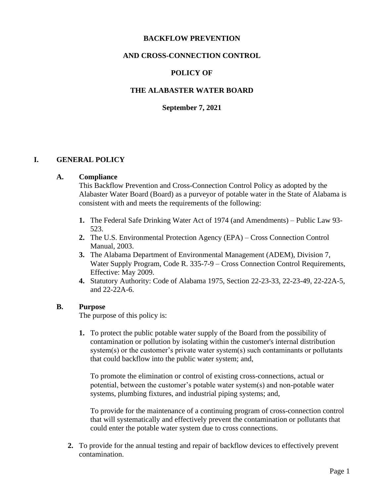#### **BACKFLOW PREVENTION**

# **AND CROSS-CONNECTION CONTROL**

### **POLICY OF**

### **THE ALABASTER WATER BOARD**

#### **September 7, 2021**

#### **I. GENERAL POLICY**

#### **A. Compliance**

This Backflow Prevention and Cross-Connection Control Policy as adopted by the Alabaster Water Board (Board) as a purveyor of potable water in the State of Alabama is consistent with and meets the requirements of the following:

- **1.** The Federal Safe Drinking Water Act of 1974 (and Amendments) Public Law 93- 523.
- **2.** The U.S. Environmental Protection Agency (EPA) Cross Connection Control Manual, 2003.
- **3.** The Alabama Department of Environmental Management (ADEM), Division 7, Water Supply Program, Code R. 335-7-9 – Cross Connection Control Requirements, Effective: May 2009.
- **4.** Statutory Authority: Code of Alabama 1975, Section 22-23-33, 22-23-49, 22-22A-5, and 22-22A-6.

#### **B. Purpose**

The purpose of this policy is:

**1.** To protect the public potable water supply of the Board from the possibility of contamination or pollution by isolating within the customer's internal distribution system(s) or the customer's private water system(s) such contaminants or pollutants that could backflow into the public water system; and,

To promote the elimination or control of existing cross-connections, actual or potential, between the customer's potable water system(s) and non-potable water systems, plumbing fixtures, and industrial piping systems; and,

To provide for the maintenance of a continuing program of cross-connection control that will systematically and effectively prevent the contamination or pollutants that could enter the potable water system due to cross connections.

**2.** To provide for the annual testing and repair of backflow devices to effectively prevent contamination.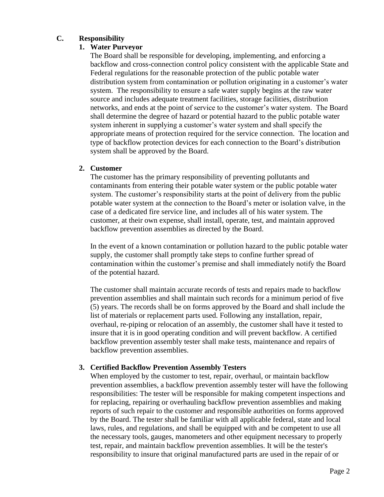# **C. Responsibility**

# **1. Water Purveyor**

The Board shall be responsible for developing, implementing, and enforcing a backflow and cross-connection control policy consistent with the applicable State and Federal regulations for the reasonable protection of the public potable water distribution system from contamination or pollution originating in a customer's water system. The responsibility to ensure a safe water supply begins at the raw water source and includes adequate treatment facilities, storage facilities, distribution networks, and ends at the point of service to the customer's water system. The Board shall determine the degree of hazard or potential hazard to the public potable water system inherent in supplying a customer's water system and shall specify the appropriate means of protection required for the service connection. The location and type of backflow protection devices for each connection to the Board's distribution system shall be approved by the Board.

#### **2. Customer**

The customer has the primary responsibility of preventing pollutants and contaminants from entering their potable water system or the public potable water system. The customer's responsibility starts at the point of delivery from the public potable water system at the connection to the Board's meter or isolation valve, in the case of a dedicated fire service line, and includes all of his water system. The customer, at their own expense, shall install, operate, test, and maintain approved backflow prevention assemblies as directed by the Board.

In the event of a known contamination or pollution hazard to the public potable water supply, the customer shall promptly take steps to confine further spread of contamination within the customer's premise and shall immediately notify the Board of the potential hazard.

The customer shall maintain accurate records of tests and repairs made to backflow prevention assemblies and shall maintain such records for a minimum period of five (5) years. The records shall be on forms approved by the Board and shall include the list of materials or replacement parts used. Following any installation, repair, overhaul, re-piping or relocation of an assembly, the customer shall have it tested to insure that it is in good operating condition and will prevent backflow. A certified backflow prevention assembly tester shall make tests, maintenance and repairs of backflow prevention assemblies.

# **3. Certified Backflow Prevention Assembly Testers**

When employed by the customer to test, repair, overhaul, or maintain backflow prevention assemblies, a backflow prevention assembly tester will have the following responsibilities: The tester will be responsible for making competent inspections and for replacing, repairing or overhauling backflow prevention assemblies and making reports of such repair to the customer and responsible authorities on forms approved by the Board. The tester shall be familiar with all applicable federal, state and local laws, rules, and regulations, and shall be equipped with and be competent to use all the necessary tools, gauges, manometers and other equipment necessary to properly test, repair, and maintain backflow prevention assemblies. It will be the tester's responsibility to insure that original manufactured parts are used in the repair of or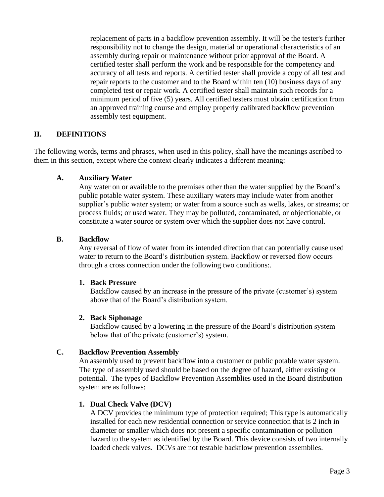replacement of parts in a backflow prevention assembly. It will be the tester's further responsibility not to change the design, material or operational characteristics of an assembly during repair or maintenance without prior approval of the Board. A certified tester shall perform the work and be responsible for the competency and accuracy of all tests and reports. A certified tester shall provide a copy of all test and repair reports to the customer and to the Board within ten (10) business days of any completed test or repair work. A certified tester shall maintain such records for a minimum period of five (5) years. All certified testers must obtain certification from an approved training course and employ properly calibrated backflow prevention assembly test equipment.

# **II. DEFINITIONS**

The following words, terms and phrases, when used in this policy, shall have the meanings ascribed to them in this section, except where the context clearly indicates a different meaning:

#### **A. Auxiliary Water**

Any water on or available to the premises other than the water supplied by the Board's public potable water system. These auxiliary waters may include water from another supplier's public water system; or water from a source such as wells, lakes, or streams; or process fluids; or used water. They may be polluted, contaminated, or objectionable, or constitute a water source or system over which the supplier does not have control.

#### **B. Backflow**

Any reversal of flow of water from its intended direction that can potentially cause used water to return to the Board's distribution system. Backflow or reversed flow occurs through a cross connection under the following two conditions:.

#### **1. Back Pressure**

Backflow caused by an increase in the pressure of the private (customer's) system above that of the Board's distribution system.

#### **2. Back Siphonage**

Backflow caused by a lowering in the pressure of the Board's distribution system below that of the private (customer's) system.

#### **C. Backflow Prevention Assembly**

An assembly used to prevent backflow into a customer or public potable water system. The type of assembly used should be based on the degree of hazard, either existing or potential. The types of Backflow Prevention Assemblies used in the Board distribution system are as follows:

# **1. Dual Check Valve (DCV)**

A DCV provides the minimum type of protection required; This type is automatically installed for each new residential connection or service connection that is 2 inch in diameter or smaller which does not present a specific contamination or pollution hazard to the system as identified by the Board. This device consists of two internally loaded check valves. DCVs are not testable backflow prevention assemblies.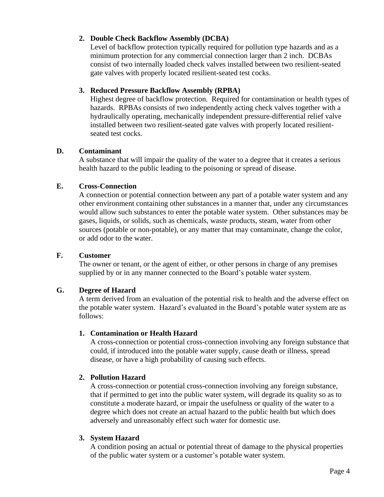# **2. Double Check Backflow Assembly (DCBA)**

Level of backflow protection typically required for pollution type hazards and as a minimum protection for any commercial connection larger than 2 inch. DCBAs consist of two internally loaded check valves installed between two resilient-seated gate valves with properly located resilient-seated test cocks.

# **3. Reduced Pressure Backflow Assembly (RPBA)**

Highest degree of backflow protection. Required for contamination or health types of hazards. RPBAs consists of two independently acting check valves together with a hydraulically operating, mechanically independent pressure-differential relief valve installed between two resilient-seated gate valves with properly located resilientseated test cocks.

# **D. Contaminant**

A substance that will impair the quality of the water to a degree that it creates a serious health hazard to the public leading to the poisoning or spread of disease.

# **E. Cross-Connection**

A connection or potential connection between any part of a potable water system and any other environment containing other substances in a manner that, under any circumstances would allow such substances to enter the potable water system. Other substances may be gases, liquids, or solids, such as chemicals, waste products, steam, water from other sources (potable or non-potable), or any matter that may contaminate, change the color, or add odor to the water.

# **F. Customer**

The owner or tenant, or the agent of either, or other persons in charge of any premises supplied by or in any manner connected to the Board's potable water system.

# **G. Degree of Hazard**

A term derived from an evaluation of the potential risk to health and the adverse effect on the potable water system. Hazard's evaluated in the Board's potable water system are as follows:

# **1. Contamination or Health Hazard**

A cross-connection or potential cross-connection involving any foreign substance that could, if introduced into the potable water supply, cause death or illness, spread disease, or have a high probability of causing such effects.

# **2. Pollution Hazard**

A cross-connection or potential cross-connection involving any foreign substance, that if permitted to get into the public water system, will degrade its quality so as to constitute a moderate hazard, or impair the usefulness or quality of the water to a degree which does not create an actual hazard to the public health but which does adversely and unreasonably effect such water for domestic use.

# **3. System Hazard**

A condition posing an actual or potential threat of damage to the physical properties of the public water system or a customer's potable water system.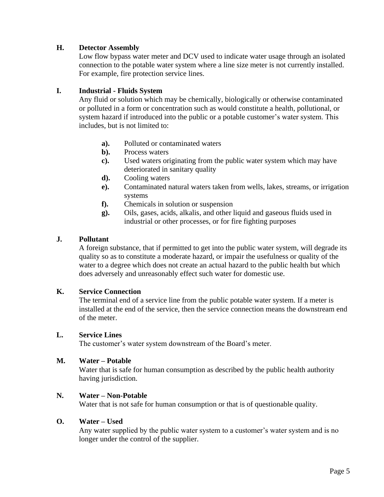### **H. Detector Assembly**

Low flow bypass water meter and DCV used to indicate water usage through an isolated connection to the potable water system where a line size meter is not currently installed. For example, fire protection service lines.

#### **I. Industrial - Fluids System**

Any fluid or solution which may be chemically, biologically or otherwise contaminated or polluted in a form or concentration such as would constitute a health, pollutional, or system hazard if introduced into the public or a potable customer's water system. This includes, but is not limited to:

- **a).** Polluted or contaminated waters
- **b).** Process waters
- **c).** Used waters originating from the public water system which may have deteriorated in sanitary quality
- **d).** Cooling waters
- **e).** Contaminated natural waters taken from wells, lakes, streams, or irrigation systems
- **f).** Chemicals in solution or suspension
- **g).** Oils, gases, acids, alkalis, and other liquid and gaseous fluids used in industrial or other processes, or for fire fighting purposes

#### **J. Pollutant**

A foreign substance, that if permitted to get into the public water system, will degrade its quality so as to constitute a moderate hazard, or impair the usefulness or quality of the water to a degree which does not create an actual hazard to the public health but which does adversely and unreasonably effect such water for domestic use.

#### **K. Service Connection**

The terminal end of a service line from the public potable water system. If a meter is installed at the end of the service, then the service connection means the downstream end of the meter.

#### **L. Service Lines**

The customer's water system downstream of the Board's meter.

#### **M. Water – Potable**

Water that is safe for human consumption as described by the public health authority having jurisdiction.

#### **N. Water – Non-Potable**

Water that is not safe for human consumption or that is of questionable quality.

#### **O. Water – Used**

Any water supplied by the public water system to a customer's water system and is no longer under the control of the supplier.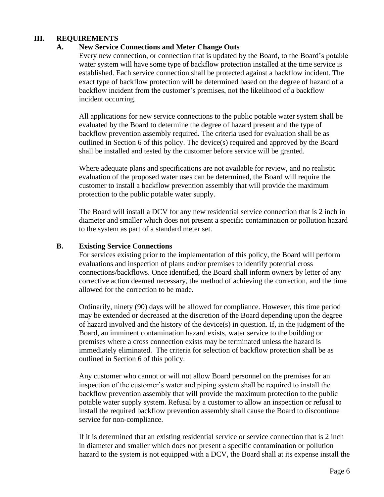# **III. REQUIREMENTS**

#### **A. New Service Connections and Meter Change Outs**

Every new connection, or connection that is updated by the Board, to the Board's potable water system will have some type of backflow protection installed at the time service is established. Each service connection shall be protected against a backflow incident. The exact type of backflow protection will be determined based on the degree of hazard of a backflow incident from the customer's premises, not the likelihood of a backflow incident occurring.

All applications for new service connections to the public potable water system shall be evaluated by the Board to determine the degree of hazard present and the type of backflow prevention assembly required. The criteria used for evaluation shall be as outlined in Section 6 of this policy. The device(s) required and approved by the Board shall be installed and tested by the customer before service will be granted.

Where adequate plans and specifications are not available for review, and no realistic evaluation of the proposed water uses can be determined, the Board will require the customer to install a backflow prevention assembly that will provide the maximum protection to the public potable water supply.

The Board will install a DCV for any new residential service connection that is 2 inch in diameter and smaller which does not present a specific contamination or pollution hazard to the system as part of a standard meter set.

#### **B. Existing Service Connections**

For services existing prior to the implementation of this policy, the Board will perform evaluations and inspection of plans and/or premises to identify potential cross connections/backflows. Once identified, the Board shall inform owners by letter of any corrective action deemed necessary, the method of achieving the correction, and the time allowed for the correction to be made.

Ordinarily, ninety (90) days will be allowed for compliance. However, this time period may be extended or decreased at the discretion of the Board depending upon the degree of hazard involved and the history of the device(s) in question. If, in the judgment of the Board, an imminent contamination hazard exists, water service to the building or premises where a cross connection exists may be terminated unless the hazard is immediately eliminated. The criteria for selection of backflow protection shall be as outlined in Section 6 of this policy.

Any customer who cannot or will not allow Board personnel on the premises for an inspection of the customer's water and piping system shall be required to install the backflow prevention assembly that will provide the maximum protection to the public potable water supply system. Refusal by a customer to allow an inspection or refusal to install the required backflow prevention assembly shall cause the Board to discontinue service for non-compliance.

If it is determined that an existing residential service or service connection that is 2 inch in diameter and smaller which does not present a specific contamination or pollution hazard to the system is not equipped with a DCV, the Board shall at its expense install the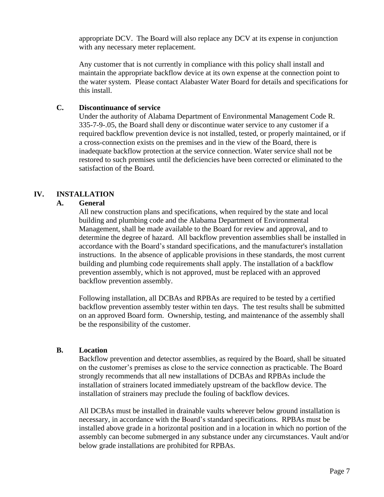appropriate DCV. The Board will also replace any DCV at its expense in conjunction with any necessary meter replacement.

Any customer that is not currently in compliance with this policy shall install and maintain the appropriate backflow device at its own expense at the connection point to the water system. Please contact Alabaster Water Board for details and specifications for this install.

#### **C. Discontinuance of service**

Under the authority of Alabama Department of Environmental Management Code R. 335-7-9-.05, the Board shall deny or discontinue water service to any customer if a required backflow prevention device is not installed, tested, or properly maintained, or if a cross-connection exists on the premises and in the view of the Board, there is inadequate backflow protection at the service connection. Water service shall not be restored to such premises until the deficiencies have been corrected or eliminated to the satisfaction of the Board.

# **IV. INSTALLATION**

#### **A. General**

All new construction plans and specifications, when required by the state and local building and plumbing code and the Alabama Department of Environmental Management, shall be made available to the Board for review and approval, and to determine the degree of hazard. All backflow prevention assemblies shall be installed in accordance with the Board's standard specifications, and the manufacturer's installation instructions. In the absence of applicable provisions in these standards, the most current building and plumbing code requirements shall apply. The installation of a backflow prevention assembly, which is not approved, must be replaced with an approved backflow prevention assembly.

Following installation, all DCBAs and RPBAs are required to be tested by a certified backflow prevention assembly tester within ten days. The test results shall be submitted on an approved Board form. Ownership, testing, and maintenance of the assembly shall be the responsibility of the customer.

# **B. Location**

Backflow prevention and detector assemblies, as required by the Board, shall be situated on the customer's premises as close to the service connection as practicable. The Board strongly recommends that all new installations of DCBAs and RPBAs include the installation of strainers located immediately upstream of the backflow device. The installation of strainers may preclude the fouling of backflow devices.

All DCBAs must be installed in drainable vaults wherever below ground installation is necessary, in accordance with the Board's standard specifications. RPBAs must be installed above grade in a horizontal position and in a location in which no portion of the assembly can become submerged in any substance under any circumstances. Vault and/or below grade installations are prohibited for RPBAs.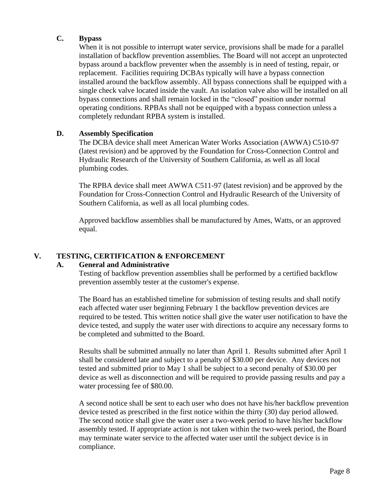# **C. Bypass**

When it is not possible to interrupt water service, provisions shall be made for a parallel installation of backflow prevention assemblies. The Board will not accept an unprotected bypass around a backflow preventer when the assembly is in need of testing, repair, or replacement. Facilities requiring DCBAs typically will have a bypass connection installed around the backflow assembly. All bypass connections shall be equipped with a single check valve located inside the vault. An isolation valve also will be installed on all bypass connections and shall remain locked in the "closed" position under normal operating conditions. RPBAs shall not be equipped with a bypass connection unless a completely redundant RPBA system is installed.

# **D. Assembly Specification**

The DCBA device shall meet American Water Works Association (AWWA) C510-97 (latest revision) and be approved by the Foundation for Cross-Connection Control and Hydraulic Research of the University of Southern California, as well as all local plumbing codes.

The RPBA device shall meet AWWA C511-97 (latest revision) and be approved by the Foundation for Cross-Connection Control and Hydraulic Research of the University of Southern California, as well as all local plumbing codes.

Approved backflow assemblies shall be manufactured by Ames, Watts, or an approved equal.

# **V. TESTING, CERTIFICATION & ENFORCEMENT**

# **A. General and Administrative**

Testing of backflow prevention assemblies shall be performed by a certified backflow prevention assembly tester at the customer's expense.

The Board has an established timeline for submission of testing results and shall notify each affected water user beginning February 1 the backflow prevention devices are required to be tested. This written notice shall give the water user notification to have the device tested, and supply the water user with directions to acquire any necessary forms to be completed and submitted to the Board.

Results shall be submitted annually no later than April 1. Results submitted after April 1 shall be considered late and subject to a penalty of \$30.00 per device. Any devices not tested and submitted prior to May 1 shall be subject to a second penalty of \$30.00 per device as well as disconnection and will be required to provide passing results and pay a water processing fee of \$80.00.

A second notice shall be sent to each user who does not have his/her backflow prevention device tested as prescribed in the first notice within the thirty (30) day period allowed. The second notice shall give the water user a two-week period to have his/her backflow assembly tested. If appropriate action is not taken within the two-week period, the Board may terminate water service to the affected water user until the subject device is in compliance.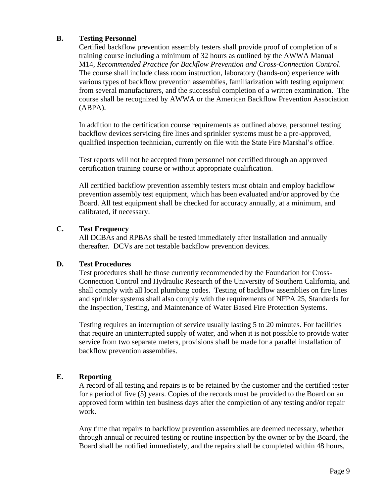# **B. Testing Personnel**

Certified backflow prevention assembly testers shall provide proof of completion of a training course including a minimum of 32 hours as outlined by the AWWA Manual M14, *Recommended Practice for Backflow Prevention and Cross-Connection Control*. The course shall include class room instruction, laboratory (hands-on) experience with various types of backflow prevention assemblies, familiarization with testing equipment from several manufacturers, and the successful completion of a written examination. The course shall be recognized by AWWA or the American Backflow Prevention Association (ABPA).

In addition to the certification course requirements as outlined above, personnel testing backflow devices servicing fire lines and sprinkler systems must be a pre-approved, qualified inspection technician, currently on file with the State Fire Marshal's office.

Test reports will not be accepted from personnel not certified through an approved certification training course or without appropriate qualification.

All certified backflow prevention assembly testers must obtain and employ backflow prevention assembly test equipment, which has been evaluated and/or approved by the Board. All test equipment shall be checked for accuracy annually, at a minimum, and calibrated, if necessary.

# **C. Test Frequency**

All DCBAs and RPBAs shall be tested immediately after installation and annually thereafter. DCVs are not testable backflow prevention devices.

# **D. Test Procedures**

Test procedures shall be those currently recommended by the Foundation for Cross-Connection Control and Hydraulic Research of the University of Southern California, and shall comply with all local plumbing codes. Testing of backflow assemblies on fire lines and sprinkler systems shall also comply with the requirements of NFPA 25, Standards for the Inspection, Testing, and Maintenance of Water Based Fire Protection Systems.

Testing requires an interruption of service usually lasting 5 to 20 minutes. For facilities that require an uninterrupted supply of water, and when it is not possible to provide water service from two separate meters, provisions shall be made for a parallel installation of backflow prevention assemblies.

# **E. Reporting**

A record of all testing and repairs is to be retained by the customer and the certified tester for a period of five (5) years. Copies of the records must be provided to the Board on an approved form within ten business days after the completion of any testing and/or repair work.

Any time that repairs to backflow prevention assemblies are deemed necessary, whether through annual or required testing or routine inspection by the owner or by the Board, the Board shall be notified immediately, and the repairs shall be completed within 48 hours,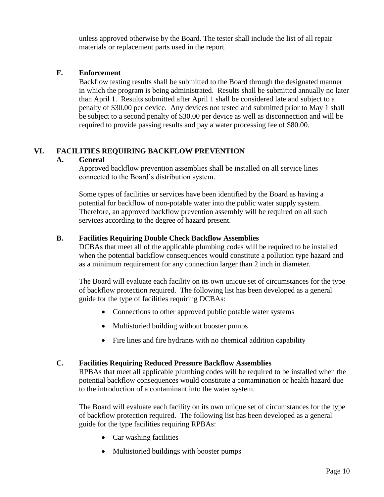unless approved otherwise by the Board. The tester shall include the list of all repair materials or replacement parts used in the report.

# **F. Enforcement**

Backflow testing results shall be submitted to the Board through the designated manner in which the program is being administrated. Results shall be submitted annually no later than April 1. Results submitted after April 1 shall be considered late and subject to a penalty of \$30.00 per device. Any devices not tested and submitted prior to May 1 shall be subject to a second penalty of \$30.00 per device as well as disconnection and will be required to provide passing results and pay a water processing fee of \$80.00.

# **VI. FACILITIES REQUIRING BACKFLOW PREVENTION**

#### **A. General**

Approved backflow prevention assemblies shall be installed on all service lines connected to the Board's distribution system.

Some types of facilities or services have been identified by the Board as having a potential for backflow of non-potable water into the public water supply system. Therefore, an approved backflow prevention assembly will be required on all such services according to the degree of hazard present.

# **B. Facilities Requiring Double Check Backflow Assemblies**

DCBAs that meet all of the applicable plumbing codes will be required to be installed when the potential backflow consequences would constitute a pollution type hazard and as a minimum requirement for any connection larger than 2 inch in diameter.

The Board will evaluate each facility on its own unique set of circumstances for the type of backflow protection required. The following list has been developed as a general guide for the type of facilities requiring DCBAs:

- Connections to other approved public potable water systems
- Multistoried building without booster pumps
- Fire lines and fire hydrants with no chemical addition capability

# **C. Facilities Requiring Reduced Pressure Backflow Assemblies**

RPBAs that meet all applicable plumbing codes will be required to be installed when the potential backflow consequences would constitute a contamination or health hazard due to the introduction of a contaminant into the water system.

The Board will evaluate each facility on its own unique set of circumstances for the type of backflow protection required. The following list has been developed as a general guide for the type facilities requiring RPBAs:

- Car washing facilities
- Multistoried buildings with booster pumps